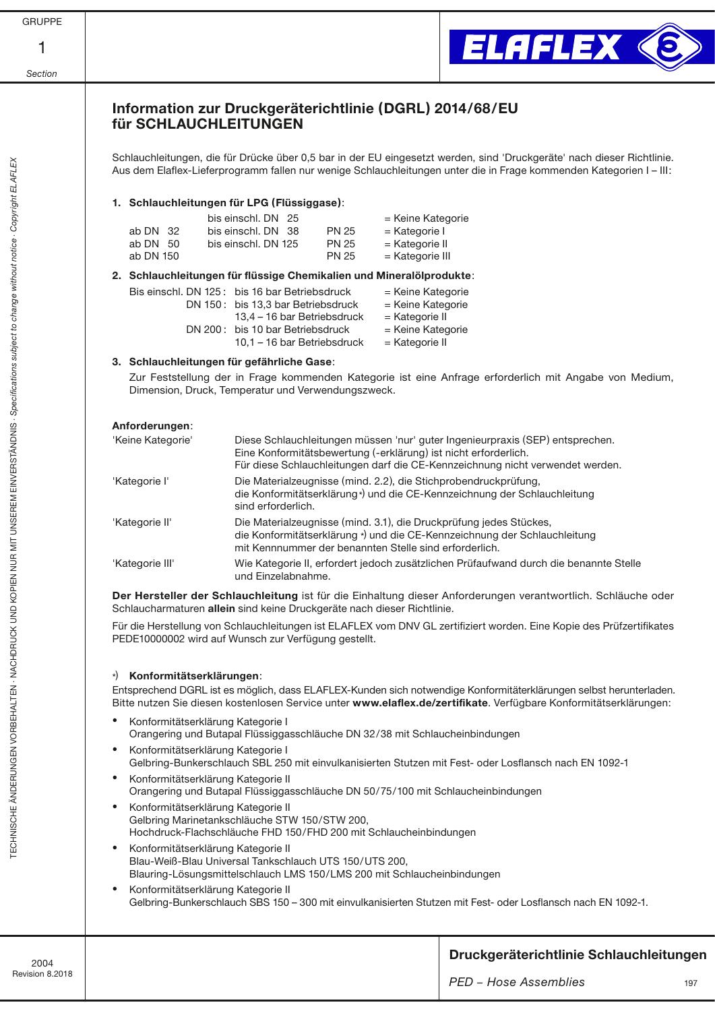| ΙF<br>С.<br>RL |  |
|----------------|--|
|                |  |



# Information zur Druckgeräterichtlinie (DGRL) 2014/68/EU für SCHLAUCHLEITUNGEN

Schlauchleitungen, die für Drücke über 0,5 bar in der EU eingesetzt werden, sind 'Druckgeräte' nach dieser Richtlinie. Aus dem Elaflex-Lieferprogramm fallen nur wenige Schlauchleitungen unter die in Frage kommenden Kategorien I – III:

## 1. Schlauchleitungen für LPG (Flüssiggase):

|            | bis einschl. DN 25  |              | = Keine Kategorie |
|------------|---------------------|--------------|-------------------|
| ab DN 32   | bis einschl. DN 38  | <b>PN 25</b> | = Kategorie I     |
| ab DN $50$ | bis einschl. DN 125 | <b>PN 25</b> | = Kategorie II    |
| ab DN 150  |                     | <b>PN 25</b> | $=$ Kategorie III |
|            |                     |              |                   |

### 2. Schlauchleitungen für flüssige Chemikalien und Mineralölprodukte:

| Bis einschl. DN 125: bis 16 bar Betriebsdruck | = Keine Kategorie |
|-----------------------------------------------|-------------------|
| DN 150: bis 13,3 bar Betriebsdruck            | = Keine Kategorie |
| 13.4 – 16 bar Betriebsdruck                   | = Kategorie II    |
| DN 200: bis 10 bar Betriebsdruck              | = Keine Kategorie |
| 10.1 – 16 bar Betriebsdruck                   | = Kategorie II    |

### 3. Schlauchleitungen für gefährliche Gase:

 Zur Feststellung der in Frage kommenden Kategorie ist eine Anfrage erforderlich mit Angabe von Medium, Dimension, Druck, Temperatur und Verwendungszweck.

| Anforderungen:    |                                                                                                                                                                                                                                   |
|-------------------|-----------------------------------------------------------------------------------------------------------------------------------------------------------------------------------------------------------------------------------|
| 'Keine Kategorie' | Diese Schlauchleitungen müssen 'nur' guter Ingenieurpraxis (SEP) entsprechen.<br>Eine Konformitätsbewertung (-erklärung) ist nicht erforderlich.<br>Für diese Schlauchleitungen darf die CE-Kennzeichnung nicht verwendet werden. |
| 'Kategorie l'     | Die Materialzeugnisse (mind. 2.2), die Stichprobendruckprüfung,<br>die Konformitätserklärung*) und die CE-Kennzeichnung der Schlauchleitung<br>sind erforderlich.                                                                 |
| 'Kategorie II'    | Die Materialzeugnisse (mind. 3.1), die Druckprüfung jedes Stückes,<br>die Konformitätserklärung *) und die CE-Kennzeichnung der Schlauchleitung<br>mit Kennnummer der benannten Stelle sind erforderlich.                         |
| 'Kategorie III'   | Wie Kategorie II, erfordert jedoch zusätzlichen Prüfaufwand durch die benannte Stelle<br>und Einzelabnahme.                                                                                                                       |

Der Hersteller der Schlauchleitung ist für die Einhaltung dieser Anforderungen verantwortlich. Schläuche oder Schlaucharmaturen allein sind keine Druckgeräte nach dieser Richtlinie.

Für die Herstellung von Schlauchleitungen ist ELAFLEX vom DNV GL zertifiziert worden. Eine Kopie des Prüfzertifikates PEDE10000002 wird auf Wunsch zur Verfügung gestellt.

## \*) Konformitätserklärungen:

Entsprechend DGRL ist es möglich, dass ELAFLEX-Kunden sich notwendige Konformitäterklärungen selbst herunterladen. Bitte nutzen Sie diesen kostenlosen Service unter [www.elaflex.de/zertifikate](https://www.elaflex.de/zertifikate). Verfügbare Konformitätserklärungen:

- Konformitätserklärung Kategorie I Orangering und Butapal Flüssiggasschläuche DN 32/38 mit Schlaucheinbindungen
- Konformitätserklärung Kategorie I Gelbring-Bunkerschlauch SBL 250 mit einvulkanisierten Stutzen mit Fest- oder Losflansch nach EN 1092-1
- Konformitätserklärung Kategorie II Orangering und Butapal Flüssiggasschläuche DN 50/75/100 mit Schlaucheinbindungen
- Konformitätserklärung Kategorie II Gelbring Marinetankschläuche STW 150/STW 200, Hochdruck-Flachschläuche FHD 150/FHD 200 mit Schlaucheinbindungen
- Konformitätserklärung Kategorie II Blau-Weiß-Blau Universal Tankschlauch UTS 150/UTS 200, Blauring-Lösungsmittelschlauch LMS 150/LMS 200 mit Schlaucheinbindungen
- Konformitätserklärung Kategorie II Gelbring-Bunkerschlauch SBS 150 – 300 mit einvulkanisierten Stutzen mit Fest- oder Losflansch nach EN 1092-1.

## 107 2004 Revision 8.2018 *PED − Hose Assemblies* Druckgeräterichtlinie Schlauchleitungen